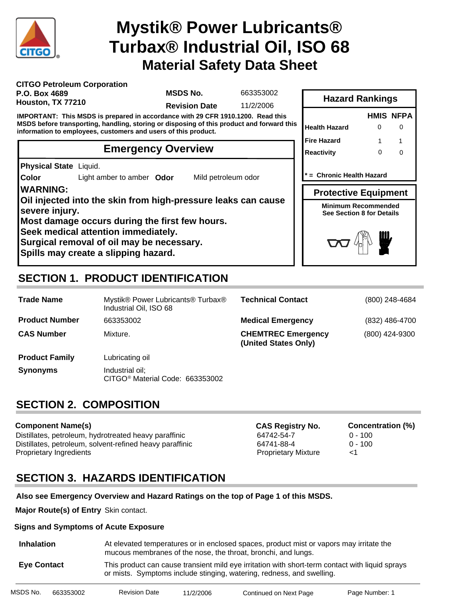

# **Material Safety Data Sheet Mystik® Power Lubricants® Turbax® Industrial Oil, ISO 68**

| <b>CITGO Petroleum Corporation</b> |  |
|------------------------------------|--|
| P.O. Box 4689                      |  |
| Houston, TX 77210                  |  |

**MSDS No.**

663353002

**Revision Date** 11/2/2006

**IMPORTANT: This MSDS is prepared in accordance with 29 CFR 1910.1200. Read this MSDS before transporting, handling, storing or disposing of this product and forward this information to employees, customers and users of this product.**

## **Emergency Overview**

**Physical State** Liquid.

**Color** Light amber to amber **Odor** Mild petroleum odor

### **WARNING:**

**Oil injected into the skin from high-pressure leaks can cause severe injury.**

**Most damage occurs during the first few hours.**

**Seek medical attention immediately.**

**Surgical removal of oil may be necessary.**

**Spills may create a slipping hazard.**

# **SECTION 1. PRODUCT IDENTIFICATION**

| <b>Trade Name</b>     | Mystik® Power Lubricants® Turbax®<br>Industrial Oil, ISO 68    | <b>Technical Contact</b>                          | (800) 248-4684 |
|-----------------------|----------------------------------------------------------------|---------------------------------------------------|----------------|
| <b>Product Number</b> | 663353002                                                      | <b>Medical Emergency</b>                          | (832) 486-4700 |
| <b>CAS Number</b>     | Mixture.                                                       | <b>CHEMTREC Emergency</b><br>(United States Only) | (800) 424-9300 |
| <b>Product Family</b> | Lubricating oil                                                |                                                   |                |
| <b>Synonyms</b>       | Industrial oil;<br>CITGO <sup>®</sup> Material Code: 663353002 |                                                   |                |

## **SECTION 2. COMPOSITION**

### **Component Name(s)**

Distillates, petroleum, hydrotreated heavy paraffinic 64742-54-7 0 - 100 Distillates, petroleum, solvent-refined heavy paraffinic 64741-88-4 0 - 100 Proprietary Ingredients Proprietary Mixture <1

**CAS Registry No. Concentration (%)**

## **SECTION 3. HAZARDS IDENTIFICATION**

### **Also see Emergency Overview and Hazard Ratings on the top of Page 1 of this MSDS.**

**Major Route(s) of Entry** Skin contact.

### **Signs and Symptoms of Acute Exposure**

| <b>Inhalation</b>  | At elevated temperatures or in enclosed spaces, product mist or vapors may irritate the<br>mucous membranes of the nose, the throat, bronchi, and lungs.                 |
|--------------------|--------------------------------------------------------------------------------------------------------------------------------------------------------------------------|
| <b>Eve Contact</b> | This product can cause transient mild eye irritation with short-term contact with liquid sprays<br>or mists. Symptoms include stinging, watering, redness, and swelling. |

| MSDS No. | 663353002 | <b>Revision Date</b> | 11/2/2006 | Continued on Next Page | Page Number: 1 |
|----------|-----------|----------------------|-----------|------------------------|----------------|
|          |           |                      |           |                        |                |

|                                                         |   | <b>HMIS NFPA</b> |
|---------------------------------------------------------|---|------------------|
| <b>Health Hazard</b>                                    | ი |                  |
| Fire Hazard                                             | 1 |                  |
| Reactivity                                              | O | n                |
| = Chronic Health Hazard                                 |   |                  |
|                                                         |   |                  |
| <b>Protective Equipment</b>                             |   |                  |
| Minimum Recommended<br><b>See Section 8 for Details</b> |   |                  |

**Hazard Rankings**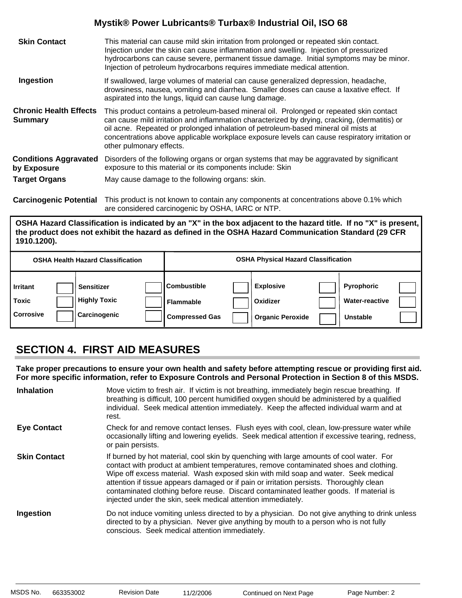| <b>Skin Contact</b>                             | This material can cause mild skin irritation from prolonged or repeated skin contact.<br>Injection under the skin can cause inflammation and swelling. Injection of pressurized<br>hydrocarbons can cause severe, permanent tissue damage. Initial symptoms may be minor.<br>Injection of petroleum hydrocarbons requires immediate medical attention.                                                      |
|-------------------------------------------------|-------------------------------------------------------------------------------------------------------------------------------------------------------------------------------------------------------------------------------------------------------------------------------------------------------------------------------------------------------------------------------------------------------------|
| Ingestion                                       | If swallowed, large volumes of material can cause generalized depression, headache,<br>drowsiness, nausea, vomiting and diarrhea. Smaller doses can cause a laxative effect. If<br>aspirated into the lungs, liquid can cause lung damage.                                                                                                                                                                  |
| <b>Chronic Health Effects</b><br><b>Summary</b> | This product contains a petroleum-based mineral oil. Prolonged or repeated skin contact<br>can cause mild irritation and inflammation characterized by drying, cracking, (dermatitis) or<br>oil acne. Repeated or prolonged inhalation of petroleum-based mineral oil mists at<br>concentrations above applicable workplace exposure levels can cause respiratory irritation or<br>other pulmonary effects. |
| <b>Conditions Aggravated</b><br>by Exposure     | Disorders of the following organs or organ systems that may be aggravated by significant<br>exposure to this material or its components include: Skin                                                                                                                                                                                                                                                       |
| <b>Target Organs</b>                            | May cause damage to the following organs: skin.                                                                                                                                                                                                                                                                                                                                                             |
|                                                 |                                                                                                                                                                                                                                                                                                                                                                                                             |

**Carcinogenic Potential** This product is not known to contain any components at concentrations above 0.1% which are considered carcinogenic by OSHA, IARC or NTP.

**OSHA Hazard Classification is indicated by an "X" in the box adjacent to the hazard title. If no "X" is present, the product does not exhibit the hazard as defined in the OSHA Hazard Communication Standard (29 CFR 1910.1200).**

|                                              | <b>OSHA Health Hazard Classification</b>                 |                                                                 | <b>OSHA Physical Hazard Classification</b>              |                                                        |  |
|----------------------------------------------|----------------------------------------------------------|-----------------------------------------------------------------|---------------------------------------------------------|--------------------------------------------------------|--|
| <b>Irritant</b><br>Toxic<br><b>Corrosive</b> | <b>Sensitizer</b><br><b>Highly Toxic</b><br>Carcinogenic | <b>Combustible</b><br><b>Flammable</b><br><b>Compressed Gas</b> | <b>Explosive</b><br>Oxidizer<br><b>Organic Peroxide</b> | Pyrophoric<br><b>Water-reactive</b><br><b>Unstable</b> |  |

## **SECTION 4. FIRST AID MEASURES**

**Take proper precautions to ensure your own health and safety before attempting rescue or providing first aid. For more specific information, refer to Exposure Controls and Personal Protection in Section 8 of this MSDS.**

| <b>Inhalation</b>   | Move victim to fresh air. If victim is not breathing, immediately begin rescue breathing. If<br>breathing is difficult, 100 percent humidified oxygen should be administered by a qualified<br>individual. Seek medical attention immediately. Keep the affected individual warm and at<br>rest.                                                                                                                                                                                                                            |
|---------------------|-----------------------------------------------------------------------------------------------------------------------------------------------------------------------------------------------------------------------------------------------------------------------------------------------------------------------------------------------------------------------------------------------------------------------------------------------------------------------------------------------------------------------------|
| <b>Eye Contact</b>  | Check for and remove contact lenses. Flush eyes with cool, clean, low-pressure water while<br>occasionally lifting and lowering eyelids. Seek medical attention if excessive tearing, redness,<br>or pain persists.                                                                                                                                                                                                                                                                                                         |
| <b>Skin Contact</b> | If burned by hot material, cool skin by quenching with large amounts of cool water. For<br>contact with product at ambient temperatures, remove contaminated shoes and clothing.<br>Wipe off excess material. Wash exposed skin with mild soap and water. Seek medical<br>attention if tissue appears damaged or if pain or irritation persists. Thoroughly clean<br>contaminated clothing before reuse. Discard contaminated leather goods. If material is<br>injected under the skin, seek medical attention immediately. |
| Ingestion           | Do not induce vomiting unless directed to by a physician. Do not give anything to drink unless<br>directed to by a physician. Never give anything by mouth to a person who is not fully<br>conscious. Seek medical attention immediately.                                                                                                                                                                                                                                                                                   |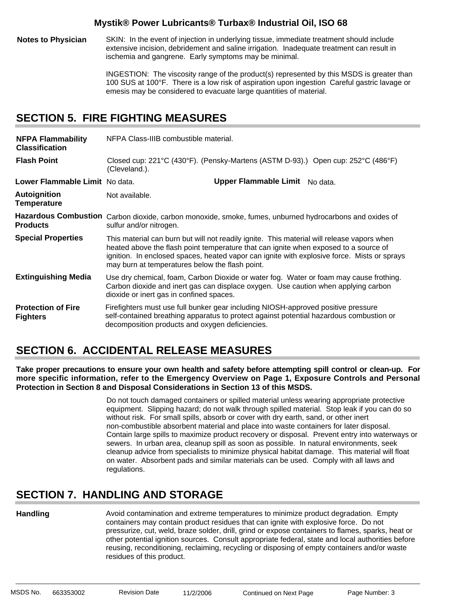**Notes to Physician** SKIN: In the event of injection in underlying tissue, immediate treatment should include extensive incision, debridement and saline irrigation. Inadequate treatment can result in ischemia and gangrene. Early symptoms may be minimal.

> INGESTION: The viscosity range of the product(s) represented by this MSDS is greater than 100 SUS at 100°F. There is a low risk of aspiration upon ingestion Careful gastric lavage or emesis may be considered to evacuate large quantities of material.

## **SECTION 5. FIRE FIGHTING MEASURES**

| <b>NFPA Flammability</b><br><b>Classification</b> | NFPA Class-IIIB combustible material.                                                                                                                                                                                                                                                                                                |  |  |  |  |
|---------------------------------------------------|--------------------------------------------------------------------------------------------------------------------------------------------------------------------------------------------------------------------------------------------------------------------------------------------------------------------------------------|--|--|--|--|
| <b>Flash Point</b>                                | Closed cup: 221°C (430°F). (Pensky-Martens (ASTM D-93).) Open cup: 252°C (486°F)<br>(Cleveland.).                                                                                                                                                                                                                                    |  |  |  |  |
| Lower Flammable Limit No data.                    | Upper Flammable Limit No data.                                                                                                                                                                                                                                                                                                       |  |  |  |  |
| <b>Autoignition</b><br><b>Temperature</b>         | Not available.                                                                                                                                                                                                                                                                                                                       |  |  |  |  |
| <b>Products</b>                                   | Hazardous Combustion Carbon dioxide, carbon monoxide, smoke, fumes, unburned hydrocarbons and oxides of<br>sulfur and/or nitrogen.                                                                                                                                                                                                   |  |  |  |  |
| <b>Special Properties</b>                         | This material can burn but will not readily ignite. This material will release vapors when<br>heated above the flash point temperature that can ignite when exposed to a source of<br>ignition. In enclosed spaces, heated vapor can ignite with explosive force. Mists or sprays<br>may burn at temperatures below the flash point. |  |  |  |  |
| <b>Extinguishing Media</b>                        | Use dry chemical, foam, Carbon Dioxide or water fog. Water or foam may cause frothing.<br>Carbon dioxide and inert gas can displace oxygen. Use caution when applying carbon<br>dioxide or inert gas in confined spaces.                                                                                                             |  |  |  |  |
| <b>Protection of Fire</b><br><b>Fighters</b>      | Firefighters must use full bunker gear including NIOSH-approved positive pressure<br>self-contained breathing apparatus to protect against potential hazardous combustion or<br>decomposition products and oxygen deficiencies.                                                                                                      |  |  |  |  |

## **SECTION 6. ACCIDENTAL RELEASE MEASURES**

**Take proper precautions to ensure your own health and safety before attempting spill control or clean-up. For more specific information, refer to the Emergency Overview on Page 1, Exposure Controls and Personal Protection in Section 8 and Disposal Considerations in Section 13 of this MSDS.**

> Do not touch damaged containers or spilled material unless wearing appropriate protective equipment. Slipping hazard; do not walk through spilled material. Stop leak if you can do so without risk. For small spills, absorb or cover with dry earth, sand, or other inert non-combustible absorbent material and place into waste containers for later disposal. Contain large spills to maximize product recovery or disposal. Prevent entry into waterways or sewers. In urban area, cleanup spill as soon as possible. In natural environments, seek cleanup advice from specialists to minimize physical habitat damage. This material will float on water. Absorbent pads and similar materials can be used. Comply with all laws and regulations.

## **SECTION 7. HANDLING AND STORAGE**

### **Handling**

Avoid contamination and extreme temperatures to minimize product degradation. Empty containers may contain product residues that can ignite with explosive force. Do not pressurize, cut, weld, braze solder, drill, grind or expose containers to flames, sparks, heat or other potential ignition sources. Consult appropriate federal, state and local authorities before reusing, reconditioning, reclaiming, recycling or disposing of empty containers and/or waste residues of this product.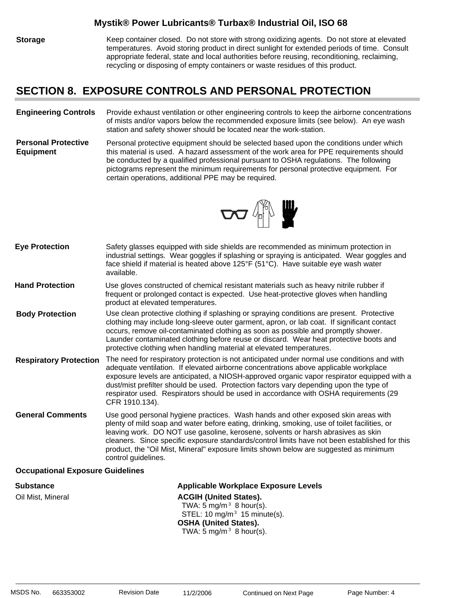**Storage** Keep container closed. Do not store with strong oxidizing agents. Do not store at elevated temperatures. Avoid storing product in direct sunlight for extended periods of time. Consult appropriate federal, state and local authorities before reusing, reconditioning, reclaiming, recycling or disposing of empty containers or waste residues of this product.

### **SECTION 8. EXPOSURE CONTROLS AND PERSONAL PROTECTION**

#### **Engineering Controls** Provide exhaust ventilation or other engineering controls to keep the airborne concentrations of mists and/or vapors below the recommended exposure limits (see below). An eye wash station and safety shower should be located near the work-station.

**Personal Protective Equipment** Personal protective equipment should be selected based upon the conditions under which this material is used. A hazard assessment of the work area for PPE requirements should be conducted by a qualified professional pursuant to OSHA regulations. The following pictograms represent the minimum requirements for personal protective equipment. For certain operations, additional PPE may be required.



| <b>Eye Protection</b>         | Safety glasses equipped with side shields are recommended as minimum protection in<br>industrial settings. Wear goggles if splashing or spraying is anticipated. Wear goggles and<br>face shield if material is heated above $125^{\circ}F$ (51 $^{\circ}C$ ). Have suitable eye wash water<br>available.                                                                                                                                                                              |
|-------------------------------|----------------------------------------------------------------------------------------------------------------------------------------------------------------------------------------------------------------------------------------------------------------------------------------------------------------------------------------------------------------------------------------------------------------------------------------------------------------------------------------|
| <b>Hand Protection</b>        | Use gloves constructed of chemical resistant materials such as heavy nitrile rubber if<br>frequent or prolonged contact is expected. Use heat-protective gloves when handling<br>product at elevated temperatures.                                                                                                                                                                                                                                                                     |
| <b>Body Protection</b>        | Use clean protective clothing if splashing or spraying conditions are present. Protective<br>clothing may include long-sleeve outer garment, apron, or lab coat. If significant contact<br>occurs, remove oil-contaminated clothing as soon as possible and promptly shower.<br>Launder contaminated clothing before reuse or discard. Wear heat protective boots and<br>protective clothing when handling material at elevated temperatures.                                          |
| <b>Respiratory Protection</b> | The need for respiratory protection is not anticipated under normal use conditions and with<br>adequate ventilation. If elevated airborne concentrations above applicable workplace<br>exposure levels are anticipated, a NIOSH-approved organic vapor respirator equipped with a<br>dust/mist prefilter should be used. Protection factors vary depending upon the type of<br>respirator used. Respirators should be used in accordance with OSHA requirements (29<br>CFR 1910.134).  |
| <b>General Comments</b>       | Use good personal hygiene practices. Wash hands and other exposed skin areas with<br>plenty of mild soap and water before eating, drinking, smoking, use of toilet facilities, or<br>leaving work. DO NOT use gasoline, kerosene, solvents or harsh abrasives as skin<br>cleaners. Since specific exposure standards/control limits have not been established for this<br>product, the "Oil Mist, Mineral" exposure limits shown below are suggested as minimum<br>control guidelines. |
|                               | .                                                                                                                                                                                                                                                                                                                                                                                                                                                                                      |

### **Occupational Exposure Guidelines**

**Substance Applicable Workplace Exposure Levels** Oil Mist, Mineral **ACGIH (United States).** TWA: 5 mg/m $3$  8 hour(s). STEL: 10 mg/m $3$  15 minute(s). **OSHA (United States).** TWA:  $5 \text{ mg/m}^3$  8 hour(s).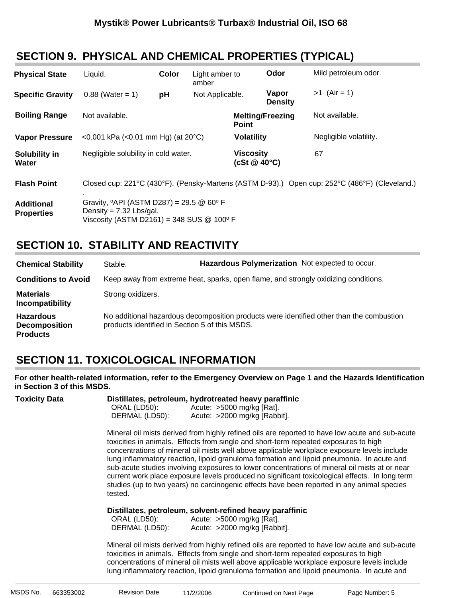## **SECTION 9. PHYSICAL AND CHEMICAL PROPERTIES (TYPICAL)**

| <b>Physical State</b>                  | Liquid.                                                                                                                                            | Color | Light amber to<br>amber |                                        | Odor                    | Mild petroleum odor    |
|----------------------------------------|----------------------------------------------------------------------------------------------------------------------------------------------------|-------|-------------------------|----------------------------------------|-------------------------|------------------------|
| <b>Specific Gravity</b>                | $0.88$ (Water = 1)                                                                                                                                 | pH    | Not Applicable.         |                                        | Vapor<br><b>Density</b> | $>1$ (Air = 1)         |
| <b>Boiling Range</b>                   | Not available.                                                                                                                                     |       |                         | <b>Point</b>                           | <b>Melting/Freezing</b> | Not available.         |
| <b>Vapor Pressure</b>                  | <0.001 kPa (<0.01 mm Hg) (at $20^{\circ}$ C)                                                                                                       |       |                         | <b>Volatility</b>                      |                         | Negligible volatility. |
| Solubility in<br>Water                 | Negligible solubility in cold water.                                                                                                               |       |                         | <b>Viscosity</b><br>(cSt $@$ 40 $°C$ ) |                         | 67                     |
| <b>Flash Point</b>                     | Closed cup: 221°C (430°F). (Pensky-Martens (ASTM D-93).) Open cup: 252°C (486°F) (Cleveland.)                                                      |       |                         |                                        |                         |                        |
| <b>Additional</b><br><b>Properties</b> | Gravity, $^{\circ}$ API (ASTM D287) = 29.5 @ 60 $^{\circ}$ F<br>Density = $7.32$ Lbs/gal.<br>Viscosity (ASTM D2161) = 348 SUS $@$ 100 $^{\circ}$ F |       |                         |                                        |                         |                        |

## **SECTION 10. STABILITY AND REACTIVITY**

| <b>Chemical Stability</b>                                   | Stable.                                        | Hazardous Polymerization Not expected to occur.                                          |
|-------------------------------------------------------------|------------------------------------------------|------------------------------------------------------------------------------------------|
| <b>Conditions to Avoid</b>                                  |                                                | Keep away from extreme heat, sparks, open flame, and strongly oxidizing conditions.      |
| <b>Materials</b><br>Incompatibility                         | Strong oxidizers.                              |                                                                                          |
| <b>Hazardous</b><br><b>Decomposition</b><br><b>Products</b> | products identified in Section 5 of this MSDS. | No additional hazardous decomposition products were identified other than the combustion |

## **SECTION 11. TOXICOLOGICAL INFORMATION**

**For other health-related information, refer to the Emergency Overview on Page 1 and the Hazards Identification in Section 3 of this MSDS.**

| <b>Toxicity Data</b> | Distillates, petroleum, hydrotreated heavy paraffinic |                             |
|----------------------|-------------------------------------------------------|-----------------------------|
|                      | ORAL (LD50):                                          | Acute: $>5000$ mg/kg [Rat]. |

| $U \cup U$ is the set of $U$ | $100000$ inging proof.       |
|------------------------------|------------------------------|
| DERMAL (LD50):               | Acute: >2000 mg/kg [Rabbit]. |
|                              |                              |

Mineral oil mists derived from highly refined oils are reported to have low acute and sub-acute toxicities in animals. Effects from single and short-term repeated exposures to high concentrations of mineral oil mists well above applicable workplace exposure levels include lung inflammatory reaction, lipoid granuloma formation and lipoid pneumonia. In acute and sub-acute studies involving exposures to lower concentrations of mineral oil mists at or near current work place exposure levels produced no significant toxicological effects. In long term studies (up to two years) no carcinogenic effects have been reported in any animal species tested.

### **Distillates, petroleum, solvent-refined heavy paraffinic** :

| ORAL (LD50):   | Acute: >5000 mg/kg [Rat].    |
|----------------|------------------------------|
| DERMAL (LD50): | Acute: >2000 mg/kg [Rabbit]. |

Mineral oil mists derived from highly refined oils are reported to have low acute and sub-acute toxicities in animals. Effects from single and short-term repeated exposures to high concentrations of mineral oil mists well above applicable workplace exposure levels include lung inflammatory reaction, lipoid granuloma formation and lipoid pneumonia. In acute and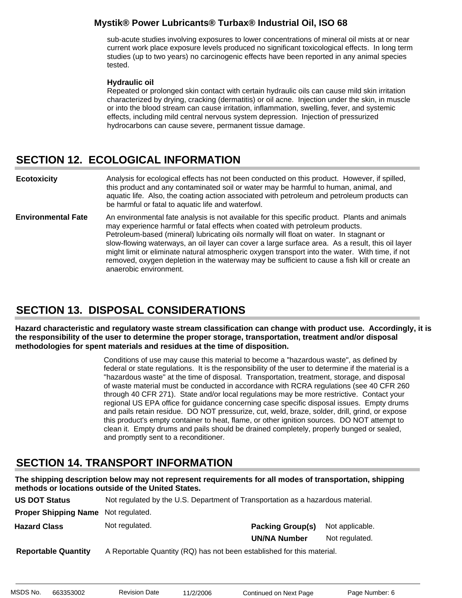sub-acute studies involving exposures to lower concentrations of mineral oil mists at or near current work place exposure levels produced no significant toxicological effects. In long term studies (up to two years) no carcinogenic effects have been reported in any animal species tested.

### **Hydraulic oil**:

Repeated or prolonged skin contact with certain hydraulic oils can cause mild skin irritation characterized by drying, cracking (dermatitis) or oil acne. Injection under the skin, in muscle or into the blood stream can cause irritation, inflammation, swelling, fever, and systemic effects, including mild central nervous system depression. Injection of pressurized hydrocarbons can cause severe, permanent tissue damage.

## **SECTION 12. ECOLOGICAL INFORMATION**

Analysis for ecological effects has not been conducted on this product. However, if spilled, this product and any contaminated soil or water may be harmful to human, animal, and aquatic life. Also, the coating action associated with petroleum and petroleum products can be harmful or fatal to aquatic life and waterfowl. **Ecotoxicity**

An environmental fate analysis is not available for this specific product. Plants and animals may experience harmful or fatal effects when coated with petroleum products. Petroleum-based (mineral) lubricating oils normally will float on water. In stagnant or slow-flowing waterways, an oil layer can cover a large surface area. As a result, this oil layer might limit or eliminate natural atmospheric oxygen transport into the water. With time, if not removed, oxygen depletion in the waterway may be sufficient to cause a fish kill or create an anaerobic environment. **Environmental Fate**

### **SECTION 13. DISPOSAL CONSIDERATIONS**

**Hazard characteristic and regulatory waste stream classification can change with product use. Accordingly, it is the responsibility of the user to determine the proper storage, transportation, treatment and/or disposal methodologies for spent materials and residues at the time of disposition.**

> Conditions of use may cause this material to become a "hazardous waste", as defined by federal or state regulations. It is the responsibility of the user to determine if the material is a "hazardous waste" at the time of disposal. Transportation, treatment, storage, and disposal of waste material must be conducted in accordance with RCRA regulations (see 40 CFR 260 through 40 CFR 271). State and/or local regulations may be more restrictive. Contact your regional US EPA office for guidance concerning case specific disposal issues. Empty drums and pails retain residue. DO NOT pressurize, cut, weld, braze, solder, drill, grind, or expose this product's empty container to heat, flame, or other ignition sources. DO NOT attempt to clean it. Empty drums and pails should be drained completely, properly bunged or sealed, and promptly sent to a reconditioner.

## **SECTION 14. TRANSPORT INFORMATION**

**The shipping description below may not represent requirements for all modes of transportation, shipping methods or locations outside of the United States.**

| <b>US DOT Status</b>                       | Not regulated by the U.S. Department of Transportation as a hazardous material. |                         |                 |
|--------------------------------------------|---------------------------------------------------------------------------------|-------------------------|-----------------|
| <b>Proper Shipping Name</b> Not regulated. |                                                                                 |                         |                 |
| <b>Hazard Class</b>                        | Not regulated.                                                                  | <b>Packing Group(s)</b> | Not applicable. |
|                                            |                                                                                 | <b>UN/NA Number</b>     | Not regulated.  |
| <b>Reportable Quantity</b>                 | A Reportable Quantity (RQ) has not been established for this material.          |                         |                 |

MSDS No. 663353002 Revision Date 11/2/2006 Continued on Next Page Page Number: 6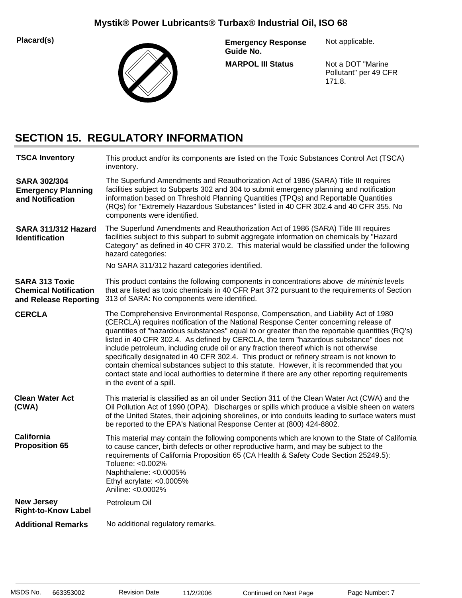**Placard(s)**



**MARPOL III Status Emergency Response Guide No.**

Not applicable.

Not a DOT "Marine Pollutant" per 49 CFR 171.8.

## **SECTION 15. REGULATORY INFORMATION**

| <b>TSCA Inventory</b>                                                          | This product and/or its components are listed on the Toxic Substances Control Act (TSCA)<br>inventory.                                                                                                                                                                                                                                                                                                                                                                                                                                                                                                                                                                                                                                                                              |
|--------------------------------------------------------------------------------|-------------------------------------------------------------------------------------------------------------------------------------------------------------------------------------------------------------------------------------------------------------------------------------------------------------------------------------------------------------------------------------------------------------------------------------------------------------------------------------------------------------------------------------------------------------------------------------------------------------------------------------------------------------------------------------------------------------------------------------------------------------------------------------|
| <b>SARA 302/304</b><br><b>Emergency Planning</b><br>and Notification           | The Superfund Amendments and Reauthorization Act of 1986 (SARA) Title III requires<br>facilities subject to Subparts 302 and 304 to submit emergency planning and notification<br>information based on Threshold Planning Quantities (TPQs) and Reportable Quantities<br>(RQs) for "Extremely Hazardous Substances" listed in 40 CFR 302.4 and 40 CFR 355. No<br>components were identified.                                                                                                                                                                                                                                                                                                                                                                                        |
| SARA 311/312 Hazard<br><b>Identification</b>                                   | The Superfund Amendments and Reauthorization Act of 1986 (SARA) Title III requires<br>facilities subject to this subpart to submit aggregate information on chemicals by "Hazard<br>Category" as defined in 40 CFR 370.2. This material would be classified under the following<br>hazard categories:                                                                                                                                                                                                                                                                                                                                                                                                                                                                               |
|                                                                                | No SARA 311/312 hazard categories identified.                                                                                                                                                                                                                                                                                                                                                                                                                                                                                                                                                                                                                                                                                                                                       |
| <b>SARA 313 Toxic</b><br><b>Chemical Notification</b><br>and Release Reporting | This product contains the following components in concentrations above de minimis levels<br>that are listed as toxic chemicals in 40 CFR Part 372 pursuant to the requirements of Section<br>313 of SARA: No components were identified.                                                                                                                                                                                                                                                                                                                                                                                                                                                                                                                                            |
| <b>CERCLA</b>                                                                  | The Comprehensive Environmental Response, Compensation, and Liability Act of 1980<br>(CERCLA) requires notification of the National Response Center concerning release of<br>quantities of "hazardous substances" equal to or greater than the reportable quantities (RQ's)<br>listed in 40 CFR 302.4. As defined by CERCLA, the term "hazardous substance" does not<br>include petroleum, including crude oil or any fraction thereof which is not otherwise<br>specifically designated in 40 CFR 302.4. This product or refinery stream is not known to<br>contain chemical substances subject to this statute. However, it is recommended that you<br>contact state and local authorities to determine if there are any other reporting requirements<br>in the event of a spill. |
| <b>Clean Water Act</b><br>(CWA)                                                | This material is classified as an oil under Section 311 of the Clean Water Act (CWA) and the<br>Oil Pollution Act of 1990 (OPA). Discharges or spills which produce a visible sheen on waters<br>of the United States, their adjoining shorelines, or into conduits leading to surface waters must<br>be reported to the EPA's National Response Center at (800) 424-8802.                                                                                                                                                                                                                                                                                                                                                                                                          |
| <b>California</b><br><b>Proposition 65</b>                                     | This material may contain the following components which are known to the State of California<br>to cause cancer, birth defects or other reproductive harm, and may be subject to the<br>requirements of California Proposition 65 (CA Health & Safety Code Section 25249.5):<br>Toluene: <0.002%<br>Naphthalene: <0.0005%<br>Ethyl acrylate: <0.0005%<br>Aniline: <0.0002%                                                                                                                                                                                                                                                                                                                                                                                                         |
| <b>New Jersey</b><br><b>Right-to-Know Label</b>                                | Petroleum Oil                                                                                                                                                                                                                                                                                                                                                                                                                                                                                                                                                                                                                                                                                                                                                                       |
| <b>Additional Remarks</b>                                                      | No additional regulatory remarks.                                                                                                                                                                                                                                                                                                                                                                                                                                                                                                                                                                                                                                                                                                                                                   |
|                                                                                |                                                                                                                                                                                                                                                                                                                                                                                                                                                                                                                                                                                                                                                                                                                                                                                     |